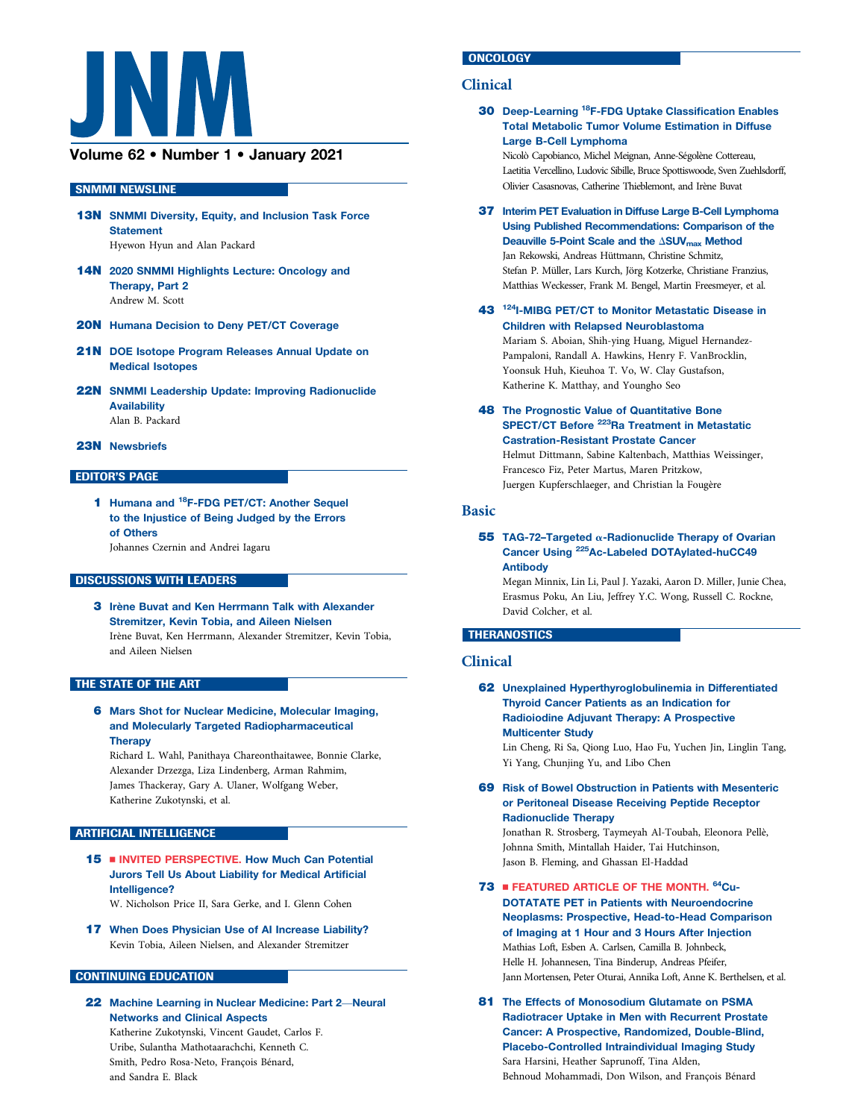

# Volume 62 • Number 1 • January 2021

#### SNMMI NEWSLINE

- 13N SNMMI Diversity, Equity, and Inclusion Task Force **Statement** Hyewon Hyun and Alan Packard
- 14N 2020 SNMMI Highlights Lecture: Oncology and Therapy, Part 2 Andrew M. Scott
- 20N Humana Decision to Deny PET/CT Coverage
- 21N DOE Isotope Program Releases Annual Update on Medical Isotopes
- 22N SNMMI Leadership Update: Improving Radionuclide Availability Alan B. Packard
- 23N Newsbriefs

# EDITOR'S PAGE

1 Humana and <sup>18</sup>F-FDG PET/CT: Another Sequel to the Injustice of Being Judged by the Errors of Others Johannes Czernin and Andrei Iagaru

#### DISCUSSIONS WITH LEADERS

3 Irène Buvat and Ken Herrmann Talk with Alexander Stremitzer, Kevin Tobia, and Aileen Nielsen Irène Buvat, Ken Herrmann, Alexander Stremitzer, Kevin Tobia, and Aileen Nielsen

#### THE STATE OF THE ART

6 Mars Shot for Nuclear Medicine, Molecular Imaging, and Molecularly Targeted Radiopharmaceutical **Therapy** 

Richard L. Wahl, Panithaya Chareonthaitawee, Bonnie Clarke, Alexander Drzezga, Liza Lindenberg, Arman Rahmim, James Thackeray, Gary A. Ulaner, Wolfgang Weber, Katherine Zukotynski, et al.

# ARTIFICIAL INTELLIGENCE

15 **N INVITED PERSPECTIVE. How Much Can Potential** Jurors Tell Us About Liability for Medical Artificial Intelligence?

W. Nicholson Price II, Sara Gerke, and I. Glenn Cohen

17 When Does Physician Use of AI Increase Liability? Kevin Tobia, Aileen Nielsen, and Alexander Stremitzer

#### CONTINUING EDUCATION

22 Machine Learning in Nuclear Medicine: Part 2—Neural Networks and Clinical Aspects Katherine Zukotynski, Vincent Gaudet, Carlos F. Uribe, Sulantha Mathotaarachchi, Kenneth C. Smith, Pedro Rosa-Neto, François Bénard, and Sandra E. Black

# **ONCOLOGY**

# Clinical

30 Deep-Learning 18F-FDG Uptake Classification Enables Total Metabolic Tumor Volume Estimation in Diffuse Large B-Cell Lymphoma

Nicolò Capobianco, Michel Meignan, Anne-Segolène Cottereau, ´ Laetitia Vercellino, Ludovic Sibille, Bruce Spottiswoode, Sven Zuehlsdorff, Olivier Casasnovas, Catherine Thieblemont, and Irène Buvat

- 37 Interim PET Evaluation in Diffuse Large B-Cell Lymphoma Using Published Recommendations: Comparison of the Deauville 5-Point Scale and the  $\triangle$ SUV<sub>max</sub> Method Jan Rekowski, Andreas Hüttmann, Christine Schmitz, Stefan P. Müller, Lars Kurch, Jörg Kotzerke, Christiane Franzius, Matthias Weckesser, Frank M. Bengel, Martin Freesmeyer, et al.
- 43 124I-MIBG PET/CT to Monitor Metastatic Disease in Children with Relapsed Neuroblastoma Mariam S. Aboian, Shih-ying Huang, Miguel Hernandez-Pampaloni, Randall A. Hawkins, Henry F. VanBrocklin, Yoonsuk Huh, Kieuhoa T. Vo, W. Clay Gustafson, Katherine K. Matthay, and Youngho Seo
- **48 The Prognostic Value of Quantitative Bone** SPECT/CT Before <sup>223</sup>Ra Treatment in Metastatic Castration-Resistant Prostate Cancer Helmut Dittmann, Sabine Kaltenbach, Matthias Weissinger, Francesco Fiz, Peter Martus, Maren Pritzkow, Juergen Kupferschlaeger, and Christian la Fougère

#### Basic

#### 55 TAG-72-Targeted  $\alpha$ -Radionuclide Therapy of Ovarian Cancer Using 225Ac-Labeled DOTAylated-huCC49 Antibody

Megan Minnix, Lin Li, Paul J. Yazaki, Aaron D. Miller, Junie Chea, Erasmus Poku, An Liu, Jeffrey Y.C. Wong, Russell C. Rockne, David Colcher, et al.

## **THERANOSTICS**

# Clinical

62 Unexplained Hyperthyroglobulinemia in Differentiated Thyroid Cancer Patients as an Indication for Radioiodine Adjuvant Therapy: A Prospective Multicenter Study

Lin Cheng, Ri Sa, Qiong Luo, Hao Fu, Yuchen Jin, Linglin Tang, Yi Yang, Chunjing Yu, and Libo Chen

69 Risk of Bowel Obstruction in Patients with Mesenteric or Peritoneal Disease Receiving Peptide Receptor Radionuclide Therapy

Jonathan R. Strosberg, Taymeyah Al-Toubah, Eleonora Pellè, Johnna Smith, Mintallah Haider, Tai Hutchinson, Jason B. Fleming, and Ghassan El-Haddad

73 **FEATURED ARTICLE OF THE MONTH. 64Cu-**

DOTATATE PET in Patients with Neuroendocrine Neoplasms: Prospective, Head-to-Head Comparison of Imaging at 1 Hour and 3 Hours After Injection Mathias Loft, Esben A. Carlsen, Camilla B. Johnbeck, Helle H. Johannesen, Tina Binderup, Andreas Pfeifer, Jann Mortensen, Peter Oturai, Annika Loft, Anne K. Berthelsen, et al.

81 The Effects of Monosodium Glutamate on PSMA Radiotracer Uptake in Men with Recurrent Prostate Cancer: A Prospective, Randomized, Double-Blind, Placebo-Controlled Intraindividual Imaging Study Sara Harsini, Heather Saprunoff, Tina Alden, Behnoud Mohammadi, Don Wilson, and François Bénard